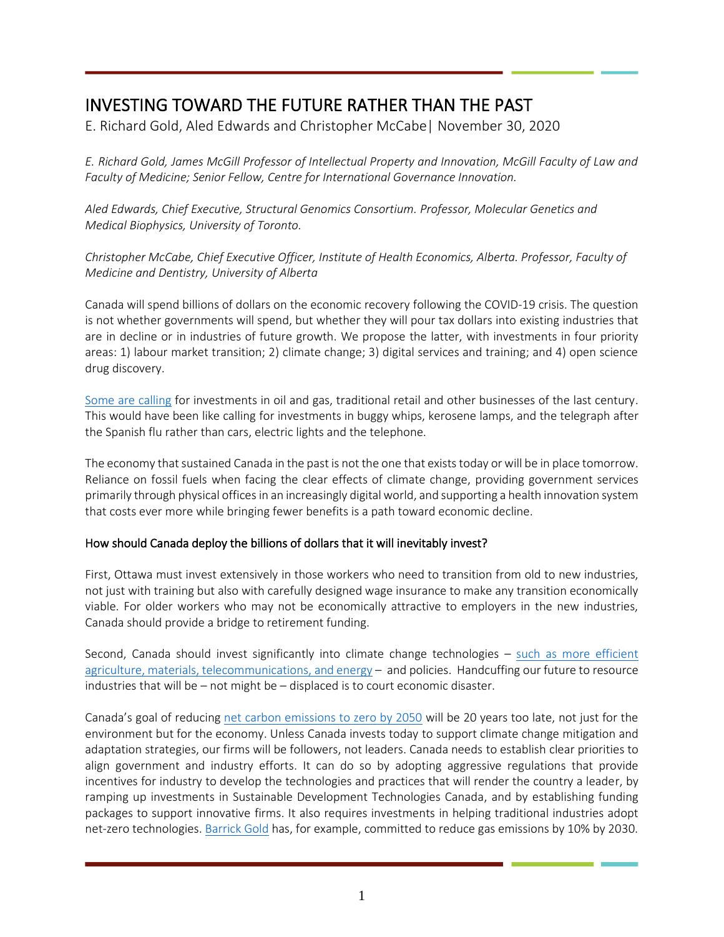## INVESTING TOWARD THE FUTURE RATHER THAN THE PAST

E. Richard Gold, Aled Edwards and Christopher McCabe| November 30, 2020

*E. Richard Gold, James McGill Professor of Intellectual Property and Innovation, McGill Faculty of Law and Faculty of Medicine; Senior Fellow, Centre for International Governance Innovation.*

*Aled Edwards, Chief Executive, Structural Genomics Consortium. Professor, Molecular Genetics and Medical Biophysics, University of Toronto.*

*Christopher McCabe, Chief Executive Officer, Institute of Health Economics, Alberta. Professor, Faculty of Medicine and Dentistry, University of Alberta*

Canada will spend billions of dollars on the economic recovery following the COVID-19 crisis. The question is not whether governments will spend, but whether they will pour tax dollars into existing industries that are in decline or in industries of future growth. We propose the latter, with investments in four priority areas: 1) labour market transition; 2) climate change; 3) digital services and training; and 4) open science drug discovery.

[Some are calling](https://nationalpost.com/opinion/rex-murphy-the-great-reset-no-one-asked-for) for investments in oil and gas, traditional retail and other businesses of the last century. This would have been like calling for investments in buggy whips, kerosene lamps, and the telegraph after the Spanish flu rather than cars, electric lights and the telephone.

The economy that sustained Canada in the past is not the one that exists today or will be in place tomorrow. Reliance on fossil fuels when facing the clear effects of climate change, providing government services primarily through physical officesin an increasingly digitalworld, and supporting a health innovation system that costs ever more while bringing fewer benefits is a path toward economic decline.

## How should Canada deploy the billions of dollars that it will inevitably invest?

First, Ottawa must invest extensively in those workers who need to transition from old to new industries, not just with training but also with carefully designed wage insurance to make any transition economically viable. For older workers who may not be economically attractive to employers in the new industries, Canada should provide a bridge to retirement funding.

Second, Canada should invest significantly into climate change technologies – [such as more efficient](https://www.sdtc.ca/en/our-companies/)  [agriculture, materials, telecommunications, and energy](https://www.sdtc.ca/en/our-companies/) – and policies. Handcuffing our future to resource industries that will be – not might be – displaced is to court economic disaster.

Canada's goal of reducing [net carbon emissions to zero by 2050](https://www.canada.ca/en/environment-climate-change/news/2020/11/government-of-canada-charts-course-for-clean-growth-by-introducing-bill-to-legislate-net-zero-emissions-by-2050.html) will be 20 years too late, not just for the environment but for the economy. Unless Canada invests today to support climate change mitigation and adaptation strategies, our firms will be followers, not leaders. Canada needs to establish clear priorities to align government and industry efforts. It can do so by adopting aggressive regulations that provide incentives for industry to develop the technologies and practices that will render the country a leader, by ramping up investments in Sustainable Development Technologies Canada, and by establishing funding packages to support innovative firms. It also requires investments in helping traditional industries adopt net-zero technologies[. Barrick Gold](https://financialpost.com/pmn/business-pmn/gold-mining-emissions-draw-scrutiny-after-price-surge) has, for example, committed to reduce gas emissions by 10% by 2030.